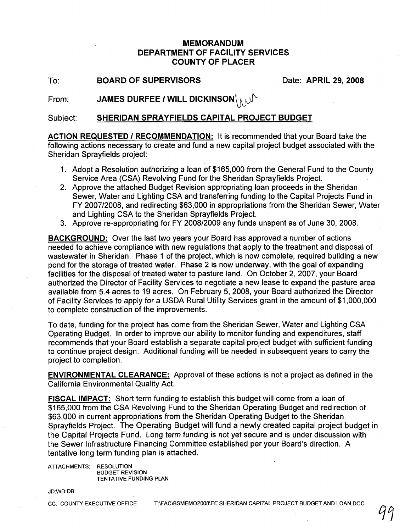## **MEMORANDUM DEPARTMENT OF FACILITY SERVICES COUNTY OF PLACER**

To: **BOARD OF SUPERVISORS** Date: **APRIL 29, 2008** 

From:  $JAMES$  DURFEE *I* WILL DICKINSON $\setminus_{\mathcal{N}}$ 

Subject: **SHERIDAN SPRAYFIELDS CAPITAL PROJECT BUDGET**

**ACTION REQUESTED I RECOMMENDATION:** It is recommended that your Board take the following actions necessary to create and fund a new capital project budget associated with the Sheridan Sprayfields project:

- 1. Adopt a Resolution authorizing a loan of \$165,000 from the General Fund to the County Service Area (CSA) Revolving Fund for the Sheridan Sprayfields Project.
- 2. Approve the attached BUdget Revision appropriating loan proceeds in the Sheridan Sewer, Water and Lighting CSA and transferring funding to the Capital Projects Fund in FY 2007/2008, and redirecting \$63,000 in appropriations from the Sheridan Sewer, Water and Lighting CSA to the Sheridan Sprayfields Project.
- 3. Approve re-appropriating for FY 2008/2009 any funds unspent as of June 30, 2008.

**BACKGROUND:** Over the last two years your Board has approved a number of actions needed to achieve compliance with new regulations that apply to the treatment and disposal of wastewater in Sheridan. Phase 1 of the project, which is now complete, required building a new pond for the storage of treated water. Phase 2 is now underway, with the goal of expanding facilities for the disposal of treated water to pasture land. On October 2,2007, your Board authorized the Director of Facility Services to negotiate a new lease to expand the pasture area available from 5.4 acres to 19 acres. On February 5, 2008, your Board authorized the Director of Facility Services to apply for a USDA Rural Utility Services grant in the amount of \$1 ,000,000 to complete construction of the improvements.

To date, funding for the project has come from the Sheridan Sewer, Water and Lighting CSA Operating BUdget. In order to improve our ability to monitor funding and expenditures, staff recommends that your Board establish a separate capital project budget with sufficient funding to continue project design. Additional funding will be needed in subsequent years to carry the project to completion.

**ENVIRONMENTAL CLEARANCE:** Approval of these actions is not a project as defined in the California Environmental Quality Act.

**FISCAL IMPACT:** Short term funding to establish this budget will come from a loan of \$165,000 from the CSA Revolving Fund to the Sheridan Operating Budget and redirection of \$63,000 in current appropriations from the Sheridan Operating Budget to the Sheridan Sprayfields Project. The Operating Budget will fund a newly created capital project budget in the Capital Projects Fund. Long term funding is not yet secure and is under discussion with the Sewer Infrastructure Financing Committee established per your Board's direction. A tentative long term funding plan is attached.

ATTACHMENTS: RESOLUTION BUDGET REVISION TENTATIVE FUNDING PLAN

#### JD:WD:DB

CC: COUNTY EXECUTIVE OFFICE T:\FAC\BSMEMO2008\EE SHERIDAN CAPITAL PROJECT BUDGET AND LOAN.DOC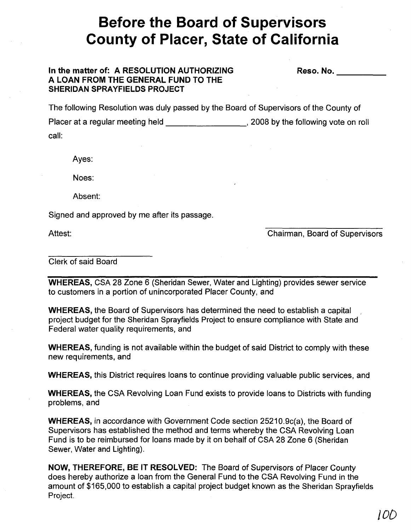# **Before the Board of Supervisors County of Placer, State of California**

### **In the matter of: A RESOLUTION AUTHORIZING A LOAN FROM THE GENERAL FUND TO THE SHERIDAN SPRAYFIELDS PROJECT**

Reso. No.

The following Resolution was duly passed by the Board of Supervisors of the County of Placer at a regular meeting held , 2008 by the following vote on roll call:

Ayes:

Noes:

Absent:

Signed and approved by me after its passage.

Attest:

Chairman, Board of Supervisors

### Clerk of said Board

**WHEREAS,** CSA 28 Zone 6 (Sheridan Sewer, Water and Lighting) provides sewer service to customers in a portion of unincorporated Placer County, and

**WHEREAS,** the Board of Supervisors has determined the need to establish a capital , project budget for the Sheridan Sprayfields Project to ensure compliance with State and Federal water quality requirements, and

**WHEREAS,** funding is not available within the budget of said District to comply with these new requirements, and

**WHEREAS,** this District requires loans to continue providing valuable public services, and

**WHEREAS,** the CSA Revolving Loan Fund exists to provide loans to Districts with funding problems, and

**WHEREAS,** in accordance with Government Code section 25210.9c(a), the Board of Supervisors has established the method and terms whereby the CSA Revolving Loan Fund is to be reimbursed for loans made by it on behalf of CSA 28 Zone 6 (Sheridan Sewer, Water and Lighting).

**NOW, THEREFORE, BE IT RESOLVED:** The Board of Supervisors of Placer County does hereby authorize a loan from the General Fund to the CSA Revolving Fund in the amount of \$165,000 to establish a capital project budget known as the Sheridan Sprayfields Project.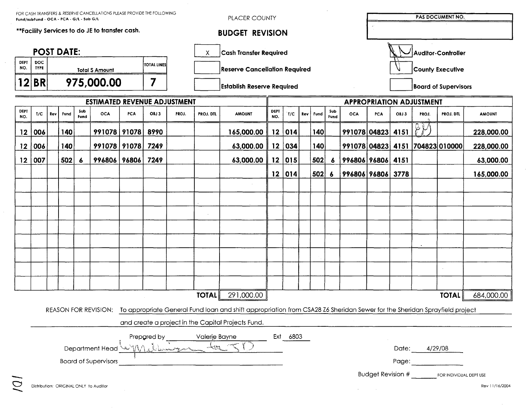|                    |                              | FOR CASH TRANSFERS & RESERVE CANCELLATIONS PLEASE PROVIDE THE FOLLOWING<br>Fund/subFund - OCA - PCA - G/L - Sub G/L |      |             |                                                |                                   |                                      |       |                                    | PLACER COUNTY                                                                                                                                  |                    |          |                             |                   |                         |                             |                          |                    |                                 |                                 | PAS DOCUMENT NO. |  |  |  |  |
|--------------------|------------------------------|---------------------------------------------------------------------------------------------------------------------|------|-------------|------------------------------------------------|-----------------------------------|--------------------------------------|-------|------------------------------------|------------------------------------------------------------------------------------------------------------------------------------------------|--------------------|----------|-----------------------------|-------------------|-------------------------|-----------------------------|--------------------------|--------------------|---------------------------------|---------------------------------|------------------|--|--|--|--|
|                    |                              |                                                                                                                     |      |             | **Facility Services to do JE to transfer cash. |                                   |                                      |       |                                    | <b>BUDGET REVISION</b>                                                                                                                         |                    |          |                             |                   |                         |                             |                          |                    |                                 |                                 |                  |  |  |  |  |
|                    | <b>POST DATE:</b>            |                                                                                                                     |      |             |                                                |                                   |                                      |       | <b>Cash Transfer Required</b><br>Χ |                                                                                                                                                |                    |          |                             |                   |                         |                             |                          | Auditor-Controller |                                 |                                 |                  |  |  |  |  |
| <b>DEPT</b><br>NO. | DOC<br><b>TYPE</b>           | <b>TOTAL LINES</b><br><b>Total \$ Amount</b>                                                                        |      |             |                                                |                                   | <b>Reserve Cancellation Required</b> |       |                                    |                                                                                                                                                |                    |          |                             |                   | <b>County Executive</b> |                             |                          |                    |                                 |                                 |                  |  |  |  |  |
| $\mathbf 2$        | 7<br><b>BR</b><br>975,000.00 |                                                                                                                     |      |             |                                                | <b>Establish Reserve Required</b> |                                      |       |                                    |                                                                                                                                                |                    |          | <b>Board of Supervisors</b> |                   |                         |                             |                          |                    |                                 |                                 |                  |  |  |  |  |
|                    |                              |                                                                                                                     |      |             | <b>ESTIMATED REVENUE ADJUSTMENT</b>            |                                   |                                      |       |                                    |                                                                                                                                                |                    |          |                             |                   |                         |                             |                          |                    | <b>APPROPRIATION ADJUSTMENT</b> |                                 |                  |  |  |  |  |
| <b>DEPT</b><br>NO. | T/C                          | Rev                                                                                                                 | Fund | Sub<br>Fund | <b>OCA</b>                                     | <b>PCA</b>                        | OBJ 3                                | PROJ. | <b>PROJ. DTL</b>                   | <b>AMOUNT</b>                                                                                                                                  | <b>DEPT</b><br>NO. | T/C      | Rev                         | Fund              | Sub<br>Fund             | <b>OCA</b>                  | <b>PCA</b>               | OBJ 3              | PROJ.                           | <b>PROJ. DTL</b>                | <b>AMOUNT</b>    |  |  |  |  |
| 12                 | 006                          |                                                                                                                     | 140  |             | 991078 91078                                   |                                   | 8990                                 |       |                                    | 165,000.00                                                                                                                                     | 12                 | 014      |                             | 140               |                         | 991078 04823 4151           |                          |                    | $\mathcal{V}$                   |                                 | 228,000.00       |  |  |  |  |
| 12                 | 006                          |                                                                                                                     | 140  |             | 991078 91078 7249                              |                                   |                                      |       |                                    | 63,000.00                                                                                                                                      |                    | 12 034   |                             | 140               |                         |                             |                          |                    |                                 | 991078 04823 4151 704823 010000 | 228,000.00       |  |  |  |  |
| 12 <sub>1</sub>    | 007                          |                                                                                                                     | 502  | 6           | 996806 96806                                   |                                   | 7249                                 |       |                                    | 63,000.00                                                                                                                                      | 12                 | 015      |                             | 502               |                         | $6$   996806   96806   4151 |                          |                    |                                 |                                 | 63,000.00        |  |  |  |  |
|                    |                              |                                                                                                                     |      |             |                                                |                                   |                                      |       |                                    |                                                                                                                                                | 12                 | 014      |                             | $502 \, \text{6}$ |                         | 996806   96806   3778       |                          |                    |                                 |                                 | 165,000.00       |  |  |  |  |
|                    |                              |                                                                                                                     |      |             |                                                |                                   |                                      |       |                                    |                                                                                                                                                |                    |          |                             |                   |                         |                             |                          |                    |                                 |                                 |                  |  |  |  |  |
|                    |                              |                                                                                                                     |      |             |                                                |                                   |                                      |       |                                    |                                                                                                                                                |                    |          |                             |                   |                         |                             |                          |                    |                                 |                                 |                  |  |  |  |  |
|                    |                              |                                                                                                                     |      |             |                                                |                                   |                                      |       |                                    |                                                                                                                                                |                    |          |                             |                   |                         |                             |                          |                    |                                 |                                 |                  |  |  |  |  |
|                    |                              |                                                                                                                     |      |             |                                                |                                   |                                      |       |                                    |                                                                                                                                                |                    |          |                             |                   |                         |                             |                          |                    |                                 |                                 |                  |  |  |  |  |
|                    |                              |                                                                                                                     |      |             |                                                |                                   |                                      |       |                                    |                                                                                                                                                |                    |          |                             |                   |                         |                             |                          |                    |                                 |                                 |                  |  |  |  |  |
|                    |                              |                                                                                                                     |      |             |                                                |                                   |                                      |       |                                    |                                                                                                                                                |                    |          |                             |                   |                         |                             |                          |                    |                                 |                                 |                  |  |  |  |  |
|                    |                              |                                                                                                                     |      |             |                                                |                                   |                                      |       |                                    |                                                                                                                                                |                    |          |                             |                   |                         |                             |                          |                    |                                 |                                 |                  |  |  |  |  |
|                    |                              |                                                                                                                     |      |             |                                                |                                   |                                      |       |                                    |                                                                                                                                                |                    |          |                             |                   |                         |                             |                          |                    |                                 |                                 |                  |  |  |  |  |
|                    |                              |                                                                                                                     |      |             |                                                |                                   |                                      |       | <b>TOTAL</b>                       | 291,000.00                                                                                                                                     |                    |          |                             |                   |                         |                             |                          |                    |                                 | <b>TOTAL</b>                    | 684,000.00       |  |  |  |  |
|                    |                              |                                                                                                                     |      |             |                                                |                                   |                                      |       |                                    | REASON FOR REVISION: To appropriate General Fund loan and shift appropriation from CSA28 Z6 Sheridan Sewer for the Sheridan Sprayfield project |                    |          |                             |                   |                         |                             |                          |                    |                                 |                                 |                  |  |  |  |  |
|                    |                              |                                                                                                                     |      |             |                                                |                                   |                                      |       |                                    | and create a project in the Capital Projects Fund.                                                                                             |                    |          |                             |                   |                         |                             |                          |                    |                                 |                                 |                  |  |  |  |  |
|                    |                              |                                                                                                                     |      |             |                                                |                                   | Prepared by                          |       | Valerie Bayne                      |                                                                                                                                                |                    | Ext 6803 |                             |                   |                         |                             |                          |                    |                                 |                                 |                  |  |  |  |  |
|                    |                              |                                                                                                                     |      |             | Department Head                                |                                   |                                      |       |                                    | $\Rightarrow$ $\Rightarrow$                                                                                                                    |                    |          |                             |                   |                         |                             |                          | Date:              |                                 | 4/29/08                         |                  |  |  |  |  |
|                    |                              |                                                                                                                     |      |             | <b>Board of Supervisors</b>                    |                                   |                                      |       |                                    |                                                                                                                                                |                    |          |                             |                   |                         |                             |                          | Page:              |                                 |                                 |                  |  |  |  |  |
|                    |                              |                                                                                                                     |      |             |                                                |                                   |                                      |       |                                    |                                                                                                                                                |                    |          |                             |                   |                         |                             | <b>Budget Revision #</b> |                    |                                 | FOR INDIVIDUAL DEPT USE         |                  |  |  |  |  |

 $\mathcal{L}_{\text{max}}$ 

 $\sim$ 

 $\sim$   $\sim$ 

 $\sim 10^7$